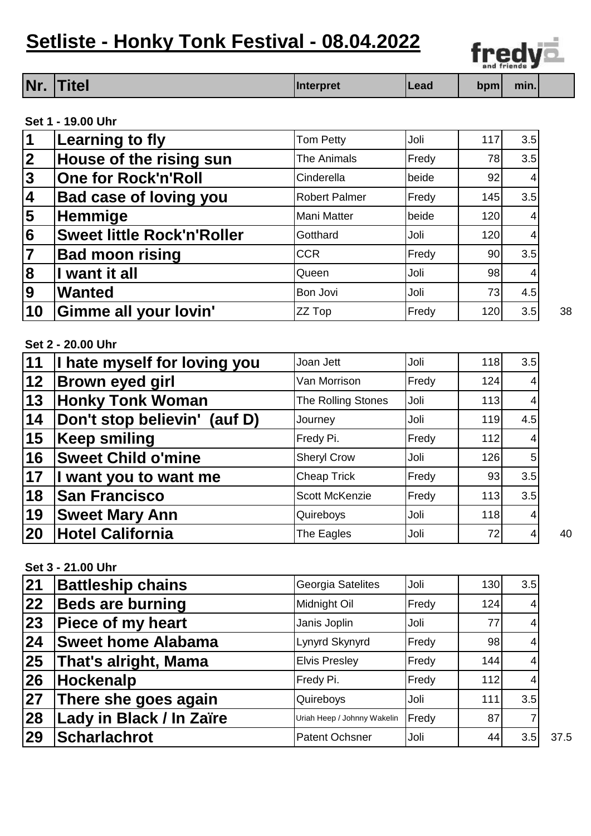## **Setliste - Honky Tonk Festival - 08.04.2022**



|                                                    | Nr.<br><b>Titel</b>               | <b>Interpret</b>      | Lead  | bpm | min.           |    |
|----------------------------------------------------|-----------------------------------|-----------------------|-------|-----|----------------|----|
|                                                    | Set 1 - 19.00 Uhr                 |                       |       |     |                |    |
| $\vert$ 1                                          | <b>Learning to fly</b>            | <b>Tom Petty</b>      | Joli  | 117 | 3.5            |    |
| $\overline{2}$                                     | House of the rising sun           | <b>The Animals</b>    | Fredy | 78  | 3.5            |    |
| $\frac{3}{4}$                                      | <b>One for Rock'n'Roll</b>        | Cinderella            | beide | 92  | 4              |    |
|                                                    | <b>Bad case of loving you</b>     | <b>Robert Palmer</b>  | Fredy | 145 | 3.5            |    |
| $\overline{\mathbf{5}}$                            | Hemmige                           | <b>Mani Matter</b>    | beide | 120 | 4              |    |
| $\overline{\mathbf{6}}$                            | <b>Sweet little Rock'n'Roller</b> | Gotthard              | Joli  | 120 | 4              |    |
|                                                    | <b>Bad moon rising</b>            | <b>CCR</b>            | Fredy | 90  | 3.5            |    |
| $\overline{\mathbf{8}}$                            | I want it all                     | Queen                 | Joli  | 98  | 4              |    |
|                                                    | <b>Wanted</b>                     | Bon Jovi              | Joli  | 73  | 4.5            |    |
|                                                    |                                   |                       |       |     |                |    |
| 9<br>10                                            | Gimme all your lovin'             | ZZ Top                | Fredy | 120 | 3.5            | 38 |
|                                                    | Set 2 - 20.00 Uhr                 |                       |       |     |                |    |
|                                                    | I hate myself for loving you      | Joan Jett             | Joli  | 118 | 3.5            |    |
|                                                    | <b>Brown eyed girl</b>            | Van Morrison          | Fredy | 124 | 4              |    |
|                                                    | <b>Honky Tonk Woman</b>           | The Rolling Stones    | Joli  | 113 | 4              |    |
|                                                    | Don't stop believin' (auf D)      | Journey               | Joli  | 119 | 4.5            |    |
|                                                    | <b>Keep smiling</b>               | Fredy Pi.             | Fredy | 112 | 4              |    |
|                                                    | <b>Sweet Child o'mine</b>         | <b>Sheryl Crow</b>    | Joli  | 126 | 5              |    |
|                                                    | I want you to want me             | <b>Cheap Trick</b>    | Fredy | 93  | 3.5            |    |
|                                                    | <b>San Francisco</b>              | <b>Scott McKenzie</b> | Fredy | 113 | 3.5            |    |
| 11<br>12<br>13<br>14<br>15<br>16<br>17<br>18<br>19 | <b>Sweet Mary Ann</b>             | Quireboys             | Joli  | 118 | $\overline{4}$ |    |

| <b>Battleship chains</b>  | Georgia Satelites           | Joli  | 130 | 3.5 |      |
|---------------------------|-----------------------------|-------|-----|-----|------|
| <b>Beds are burning</b>   | Midnight Oil                | Fredy | 124 | 4   |      |
| <b>Piece of my heart</b>  | Janis Joplin                | Joli  | 77  | 4   |      |
| <b>Sweet home Alabama</b> | Lynyrd Skynyrd              | Fredy | 98  | 4   |      |
| That's alright, Mama      | <b>Elvis Presley</b>        | Fredy | 144 | 4   |      |
| <b>Hockenalp</b>          | Fredy Pi.                   | Fredy | 112 | 4   |      |
| There she goes again      | Quireboys                   | Joli  | 111 | 3.5 |      |
| Lady in Black / In Zaïre  | Uriah Heep / Johnny Wakelin | Fredy | 87  |     |      |
| <b>Scharlachrot</b>       | <b>Patent Ochsner</b>       | Joli  | 44  | 3.5 | 37.5 |
|                           |                             |       |     |     |      |